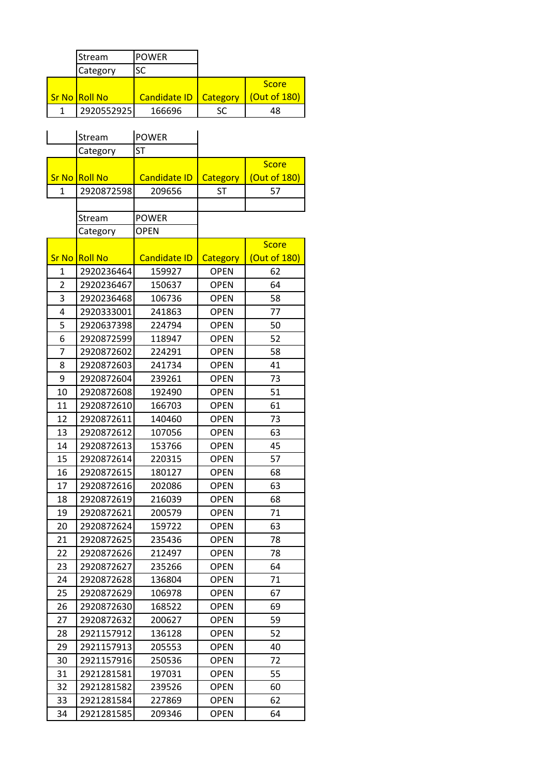|                | Stream         | <b>POWER</b>        |                 |              |
|----------------|----------------|---------------------|-----------------|--------------|
|                | Category       | SC                  |                 |              |
|                |                |                     |                 | <b>Score</b> |
|                | Sr No Roll No  | <b>Candidate ID</b> | Category        | (Out of 180) |
| 1              | 2920552925     | 166696              | <b>SC</b>       | 48           |
|                |                |                     |                 |              |
|                | Stream         | <b>POWER</b>        |                 |              |
|                | Category       | <b>ST</b>           |                 |              |
|                |                |                     |                 | <b>Score</b> |
| <b>Sr No</b>   | <b>Roll No</b> | <b>Candidate ID</b> | <b>Category</b> | (Out of 180) |
| $\mathbf{1}$   | 2920872598     | 209656              | <b>ST</b>       | 57           |
|                |                |                     |                 |              |
|                | Stream         | <b>POWER</b>        |                 |              |
|                | Category       | <b>OPEN</b>         |                 |              |
|                |                |                     |                 | <b>Score</b> |
| <b>Sr No</b>   | <b>Roll No</b> | <b>Candidate ID</b> | <b>Category</b> | (Out of 180) |
| $\mathbf{1}$   | 2920236464     | 159927              | <b>OPEN</b>     | 62           |
| $\overline{2}$ | 2920236467     | 150637              | <b>OPEN</b>     | 64           |
| 3              | 2920236468     | 106736              | <b>OPEN</b>     | 58           |
| 4              | 2920333001     | 241863              | <b>OPEN</b>     | 77           |
| 5              | 2920637398     | 224794              | <b>OPEN</b>     | 50           |
| 6              | 2920872599     | 118947              | <b>OPEN</b>     | 52           |
| 7              | 2920872602     | 224291              | <b>OPEN</b>     | 58           |
| 8              | 2920872603     | 241734              | <b>OPEN</b>     | 41           |
| 9              | 2920872604     | 239261              | <b>OPEN</b>     | 73           |
| 10             | 2920872608     | 192490              | <b>OPEN</b>     | 51           |
| 11             | 2920872610     | 166703              | <b>OPEN</b>     | 61           |
| 12             | 2920872611     | 140460              | <b>OPEN</b>     | 73           |
| 13             | 2920872612     | 107056              | <b>OPEN</b>     | 63           |
| 14             | 2920872613     | 153766              | <b>OPEN</b>     | 45           |
| 15             | 2920872614     | 220315              | <b>OPEN</b>     | 57           |
| 16             | 2920872615     | 180127              | <b>OPEN</b>     | 68           |
| 17             | 2920872616     | 202086              | <b>OPEN</b>     | 63           |
| 18             | 2920872619     | 216039              | <b>OPEN</b>     | 68           |
| 19             | 2920872621     | 200579              | <b>OPEN</b>     | 71           |
| 20             | 2920872624     | 159722              | <b>OPEN</b>     | 63           |
| 21             | 2920872625     | 235436              | <b>OPEN</b>     | 78           |
| 22             | 2920872626     | 212497              | <b>OPEN</b>     | 78           |
| 23             | 2920872627     | 235266              | <b>OPEN</b>     | 64           |
| 24             | 2920872628     | 136804              | <b>OPEN</b>     | 71           |
| 25             | 2920872629     | 106978              | <b>OPEN</b>     | 67           |
| 26             | 2920872630     | 168522              | <b>OPEN</b>     | 69           |
| 27             | 2920872632     | 200627              | <b>OPEN</b>     | 59           |
| 28             | 2921157912     | 136128              | <b>OPEN</b>     | 52           |
| 29             | 2921157913     | 205553              | <b>OPEN</b>     | 40           |
| 30             | 2921157916     | 250536              | <b>OPEN</b>     | 72           |
| 31             | 2921281581     | 197031              | <b>OPEN</b>     | 55           |
| 32             | 2921281582     | 239526              | <b>OPEN</b>     | 60           |
| 33             | 2921281584     | 227869              | <b>OPEN</b>     | 62           |
| 34             | 2921281585     | 209346              | <b>OPEN</b>     | 64           |